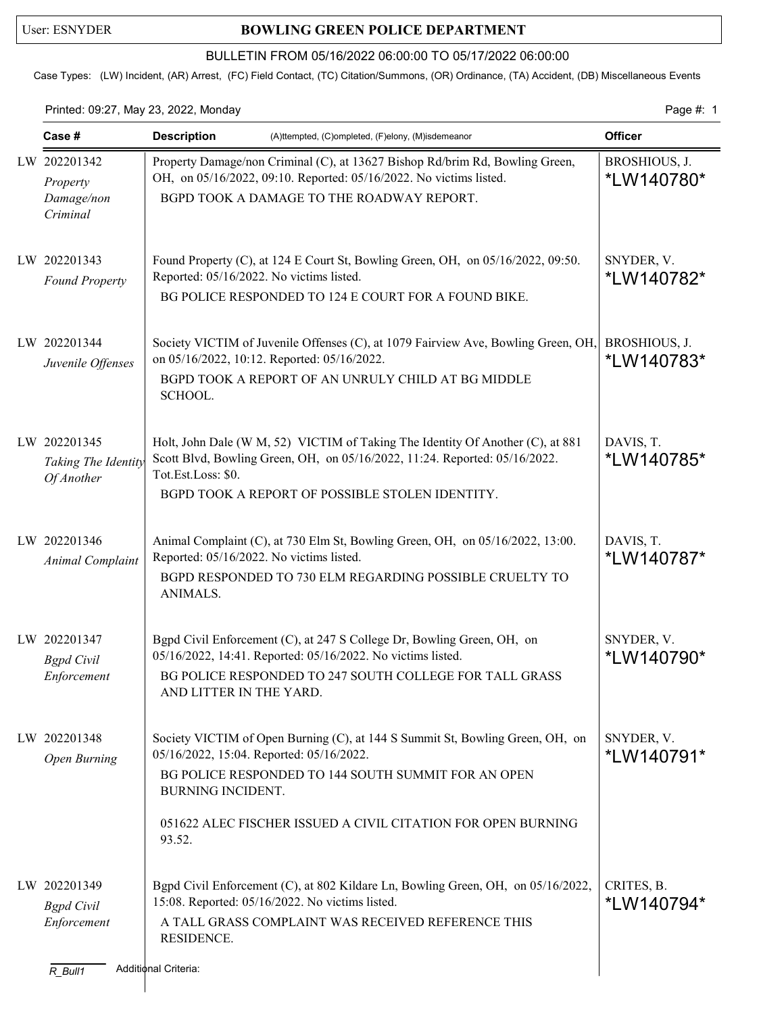## User: ESNYDER **BOWLING GREEN POLICE DEPARTMENT**

### BULLETIN FROM 05/16/2022 06:00:00 TO 05/17/2022 06:00:00

Case Types: (LW) Incident, (AR) Arrest, (FC) Field Contact, (TC) Citation/Summons, (OR) Ordinance, (TA) Accident, (DB) Miscellaneous Events

#### Printed: 09:27, May 23, 2022, Monday Page #: 1

| Case #                                                         | <b>Description</b><br>(A)ttempted, (C)ompleted, (F)elony, (M)isdemeanor                                                                                                                                                                                               | <b>Officer</b>              |
|----------------------------------------------------------------|-----------------------------------------------------------------------------------------------------------------------------------------------------------------------------------------------------------------------------------------------------------------------|-----------------------------|
| LW 202201342<br>Property<br>Damage/non<br>Criminal             | Property Damage/non Criminal (C), at 13627 Bishop Rd/brim Rd, Bowling Green,<br>OH, on 05/16/2022, 09:10. Reported: 05/16/2022. No victims listed.<br>BGPD TOOK A DAMAGE TO THE ROADWAY REPORT.                                                                       | BROSHIOUS, J.<br>*LW140780* |
| LW 202201343<br><b>Found Property</b>                          | Found Property (C), at 124 E Court St, Bowling Green, OH, on 05/16/2022, 09:50.<br>Reported: 05/16/2022. No victims listed.<br>BG POLICE RESPONDED TO 124 E COURT FOR A FOUND BIKE.                                                                                   | SNYDER, V.<br>*LW140782*    |
| LW 202201344<br>Juvenile Offenses                              | Society VICTIM of Juvenile Offenses (C), at 1079 Fairview Ave, Bowling Green, OH,<br>on 05/16/2022, 10:12. Reported: 05/16/2022.<br>BGPD TOOK A REPORT OF AN UNRULY CHILD AT BG MIDDLE<br>SCHOOL.                                                                     | BROSHIOUS, J.<br>*LW140783* |
| LW 202201345<br>Taking The Identity<br>Of Another              | Holt, John Dale (W M, 52) VICTIM of Taking The Identity Of Another (C), at 881<br>Scott Blvd, Bowling Green, OH, on 05/16/2022, 11:24. Reported: 05/16/2022.<br>Tot.Est.Loss: \$0.<br>BGPD TOOK A REPORT OF POSSIBLE STOLEN IDENTITY.                                 | DAVIS, T.<br>*LW140785*     |
| LW 202201346<br>Animal Complaint                               | Animal Complaint (C), at 730 Elm St, Bowling Green, OH, on 05/16/2022, 13:00.<br>Reported: 05/16/2022. No victims listed.<br>BGPD RESPONDED TO 730 ELM REGARDING POSSIBLE CRUELTY TO<br>ANIMALS.                                                                      | DAVIS, T.<br>*LW140787*     |
| LW 202201347<br><b>Bgpd</b> Civil<br>Enforcement               | Bgpd Civil Enforcement (C), at 247 S College Dr, Bowling Green, OH, on<br>05/16/2022, 14:41. Reported: 05/16/2022. No victims listed.<br>BG POLICE RESPONDED TO 247 SOUTH COLLEGE FOR TALL GRASS<br>AND LITTER IN THE YARD.                                           | SNYDER, V.<br>*LW140790*    |
| LW 202201348<br>Open Burning                                   | Society VICTIM of Open Burning (C), at 144 S Summit St, Bowling Green, OH, on<br>05/16/2022, 15:04. Reported: 05/16/2022.<br>BG POLICE RESPONDED TO 144 SOUTH SUMMIT FOR AN OPEN<br>BURNING INCIDENT.<br>051622 ALEC FISCHER ISSUED A CIVIL CITATION FOR OPEN BURNING | SNYDER, V.<br>*LW140791*    |
| LW 202201349<br><b>Bgpd</b> Civil<br>Enforcement<br>$R_B$ ull1 | 93.52.<br>Bgpd Civil Enforcement (C), at 802 Kildare Ln, Bowling Green, OH, on 05/16/2022,<br>15:08. Reported: 05/16/2022. No victims listed.<br>A TALL GRASS COMPLAINT WAS RECEIVED REFERENCE THIS<br>RESIDENCE.<br>Additional Criteria:                             | CRITES, B.<br>*LW140794*    |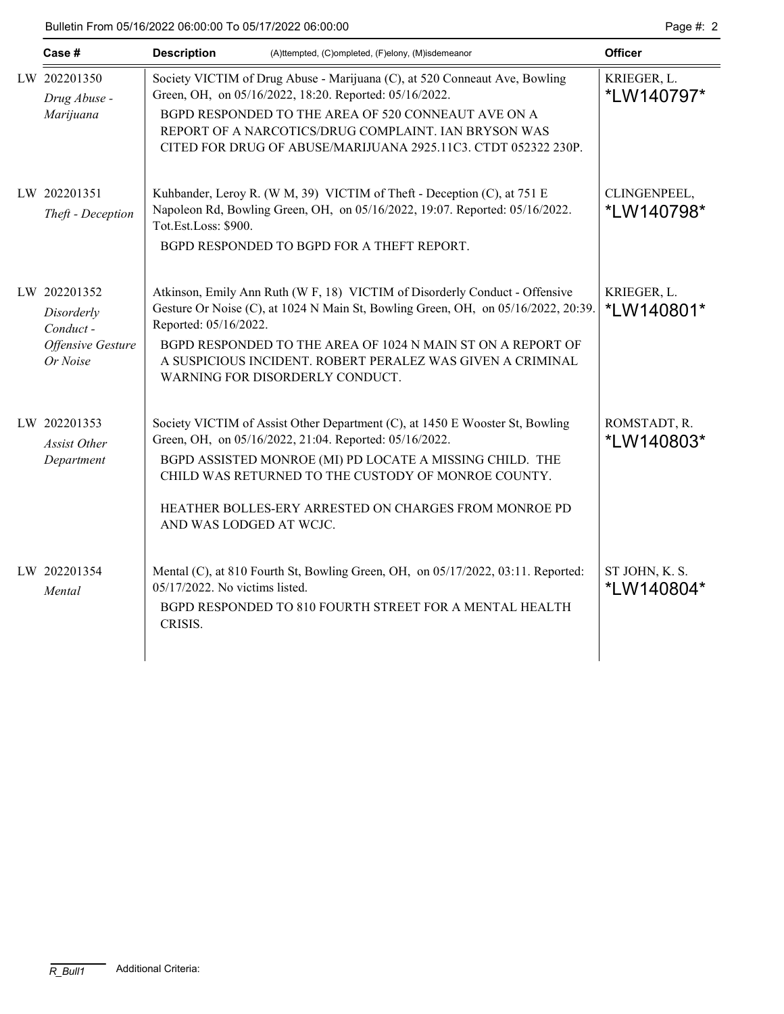| Case #                                                                         | <b>Description</b><br>(A)ttempted, (C)ompleted, (F)elony, (M)isdemeanor                                                                                                                                                                                                                                               |                                                                                                                                                                                                                                                                                                                                  | <b>Officer</b>                     |
|--------------------------------------------------------------------------------|-----------------------------------------------------------------------------------------------------------------------------------------------------------------------------------------------------------------------------------------------------------------------------------------------------------------------|----------------------------------------------------------------------------------------------------------------------------------------------------------------------------------------------------------------------------------------------------------------------------------------------------------------------------------|------------------------------------|
| LW 202201350<br>Drug Abuse -<br>Marijuana                                      | Society VICTIM of Drug Abuse - Marijuana (C), at 520 Conneaut Ave, Bowling<br>Green, OH, on 05/16/2022, 18:20. Reported: 05/16/2022.<br>BGPD RESPONDED TO THE AREA OF 520 CONNEAUT AVE ON A<br>REPORT OF A NARCOTICS/DRUG COMPLAINT. IAN BRYSON WAS<br>CITED FOR DRUG OF ABUSE/MARIJUANA 2925.11C3. CTDT 052322 230P. | KRIEGER, L.<br>*LW140797*                                                                                                                                                                                                                                                                                                        |                                    |
| LW 202201351<br>Theft - Deception                                              | Tot.Est.Loss: \$900.                                                                                                                                                                                                                                                                                                  | Kuhbander, Leroy R. (W M, 39) VICTIM of Theft - Deception (C), at 751 E<br>Napoleon Rd, Bowling Green, OH, on 05/16/2022, 19:07. Reported: 05/16/2022.<br>BGPD RESPONDED TO BGPD FOR A THEFT REPORT.                                                                                                                             | CLINGENPEEL,<br>*LW140798*         |
| LW 202201352<br>Disorderly<br>Conduct-<br><b>Offensive Gesture</b><br>Or Noise | Reported: 05/16/2022.                                                                                                                                                                                                                                                                                                 | Atkinson, Emily Ann Ruth (W F, 18) VICTIM of Disorderly Conduct - Offensive<br>Gesture Or Noise (C), at 1024 N Main St, Bowling Green, OH, on 05/16/2022, 20:39.<br>BGPD RESPONDED TO THE AREA OF 1024 N MAIN ST ON A REPORT OF<br>A SUSPICIOUS INCIDENT. ROBERT PERALEZ WAS GIVEN A CRIMINAL<br>WARNING FOR DISORDERLY CONDUCT. | KRIEGER, L.<br>*LW140801*          |
| LW 202201353<br>Assist Other<br>Department                                     | AND WAS LODGED AT WCJC.                                                                                                                                                                                                                                                                                               | Society VICTIM of Assist Other Department (C), at 1450 E Wooster St, Bowling<br>Green, OH, on 05/16/2022, 21:04. Reported: 05/16/2022.<br>BGPD ASSISTED MONROE (MI) PD LOCATE A MISSING CHILD. THE<br>CHILD WAS RETURNED TO THE CUSTODY OF MONROE COUNTY.<br>HEATHER BOLLES-ERY ARRESTED ON CHARGES FROM MONROE PD               | ROMSTADT, R.<br><i>*</i> LW140803* |
| LW 202201354<br>Mental                                                         | 05/17/2022. No victims listed.<br>CRISIS.                                                                                                                                                                                                                                                                             | Mental (C), at 810 Fourth St, Bowling Green, OH, on 05/17/2022, 03:11. Reported:<br>BGPD RESPONDED TO 810 FOURTH STREET FOR A MENTAL HEALTH                                                                                                                                                                                      | ST JOHN, K. S.<br>*LW140804*       |